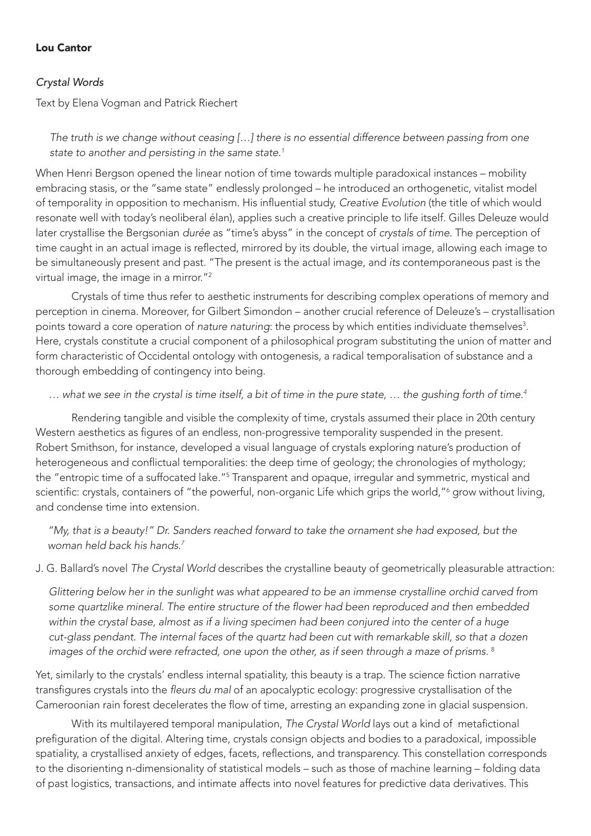## Lou Cantor

## *Crystal Words*

Text by Elena Vogman and Patrick Riechert

*The truth is we change without ceasing […] there is no essential difference between passing from one state to another and persisting in the same state.1*

When Henri Bergson opened the linear notion of time towards multiple paradoxical instances – mobility embracing stasis, or the "same state" endlessly prolonged – he introduced an orthogenetic, vitalist model of temporality in opposition to mechanism. His influential study, *Creative Evolution* (the title of which would resonate well with today's neoliberal élan), applies such a creative principle to life itself. Gilles Deleuze would later crystallise the Bergsonian *durée* as "time's abyss" in the concept of *crystals of time*. The perception of time caught in an actual image is reflected, mirrored by its double, the virtual image, allowing each image to be simultaneously present and past. "The present is the actual image, and *its* contemporaneous past is the virtual image, the image in a mirror."2

Crystals of time thus refer to aesthetic instruments for describing complex operations of memory and perception in cinema. Moreover, for Gilbert Simondon – another crucial reference of Deleuze's – crystallisation points toward a core operation of *nature naturing*: the process by which entities individuate themselves<sup>3</sup>. Here, crystals constitute a crucial component of a philosophical program substituting the union of matter and form characteristic of Occidental ontology with ontogenesis, a radical temporalisation of substance and a thorough embedding of contingency into being.

*… what we see in the crystal is time itself, a bit of time in the pure state, … the gushing forth of time.4*

Rendering tangible and visible the complexity of time, crystals assumed their place in 20th century Western aesthetics as figures of an endless, non-progressive temporality suspended in the present. Robert Smithson, for instance, developed a visual language of crystals exploring nature's production of heterogeneous and conflictual temporalities: the deep time of geology; the chronologies of mythology; the "entropic time of a suffocated lake."<sup>5</sup> Transparent and opaque, irregular and symmetric, mystical and scientific: crystals, containers of "the powerful, non-organic Life which grips the world,"<sup>6</sup> grow without living, and condense time into extension.

*"My, that is a beauty!" Dr. Sanders reached forward to take the ornament she had exposed, but the woman held back his hands.7*

J. G. Ballard's novel *The Crystal World* describes the crystalline beauty of geometrically pleasurable attraction:

*Glittering below her in the sunlight was what appeared to be an immense crystalline orchid carved from*  some quartzlike mineral. The entire structure of the flower had been reproduced and then embedded *within the crystal base, almost as if a living specimen had been conjured into the center of a huge cut-glass pendant. The internal faces of the quartz had been cut with remarkable skill, so that a dozen images of the orchid were refracted, one upon the other, as if seen through a maze of prisms.* <sup>8</sup>

Yet, similarly to the crystals' endless internal spatiality, this beauty is a trap. The science fiction narrative transfigures crystals into the fleurs du mal of an apocalyptic ecology: progressive crystallisation of the Cameroonian rain forest decelerates the flow of time, arresting an expanding zone in glacial suspension.

With its multilayered temporal manipulation, *The Crystal World* lays out a kind of metafictional prefiguration of the digital. Altering time, crystals consign objects and bodies to a paradoxical, impossible spatiality, a crystallised anxiety of edges, facets, reflections, and transparency. This constellation corresponds to the disorienting n-dimensionality of statistical models – such as those of machine learning – folding data of past logistics, transactions, and intimate affects into novel features for predictive data derivatives. This